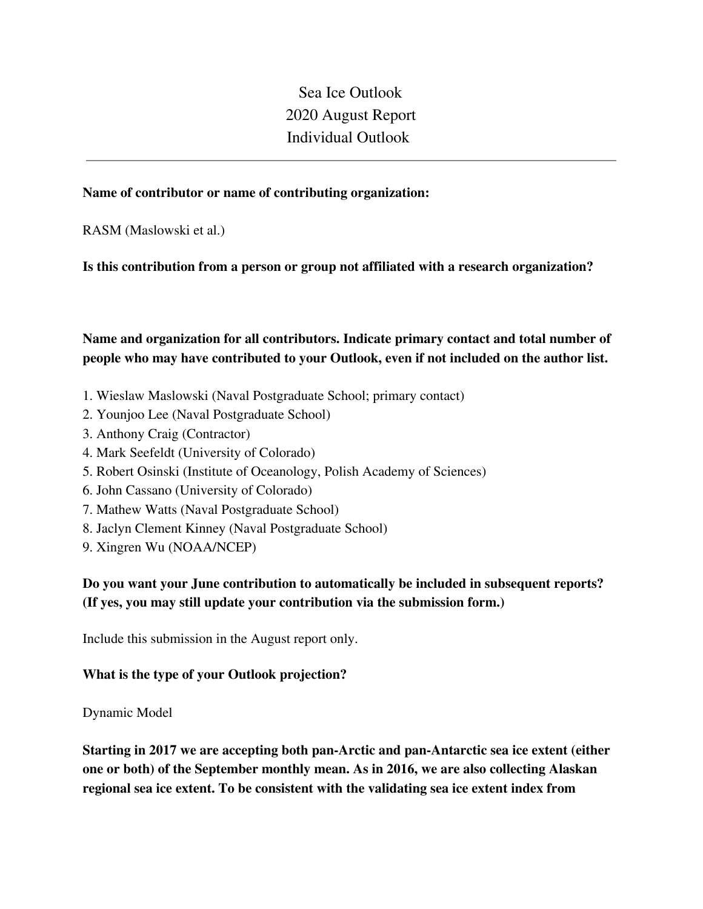Sea Ice Outlook 2020 August Report Individual Outlook

#### **Name of contributor or name of contributing organization:**

RASM (Maslowski et al.)

#### **Is this contribution from a person or group not affiliated with a research organization?**

**Name and organization for all contributors. Indicate primary contact and total number of people who may have contributed to your Outlook, even if not included on the author list.**

- 1. Wieslaw Maslowski (Naval Postgraduate School; primary contact)
- 2. Younjoo Lee (Naval Postgraduate School)
- 3. Anthony Craig (Contractor)
- 4. Mark Seefeldt (University of Colorado)
- 5. Robert Osinski (Institute of Oceanology, Polish Academy of Sciences)
- 6. John Cassano (University of Colorado)
- 7. Mathew Watts (Naval Postgraduate School)
- 8. Jaclyn Clement Kinney (Naval Postgraduate School)
- 9. Xingren Wu (NOAA/NCEP)

# **Do you want your June contribution to automatically be included in subsequent reports? (If yes, you may still update your contribution via the submission form.)**

Include this submission in the August report only.

#### **What is the type of your Outlook projection?**

Dynamic Model

**Starting in 2017 we are accepting both pan-Arctic and pan-Antarctic sea ice extent (either one or both) of the September monthly mean. As in 2016, we are also collecting Alaskan regional sea ice extent. To be consistent with the validating sea ice extent index from**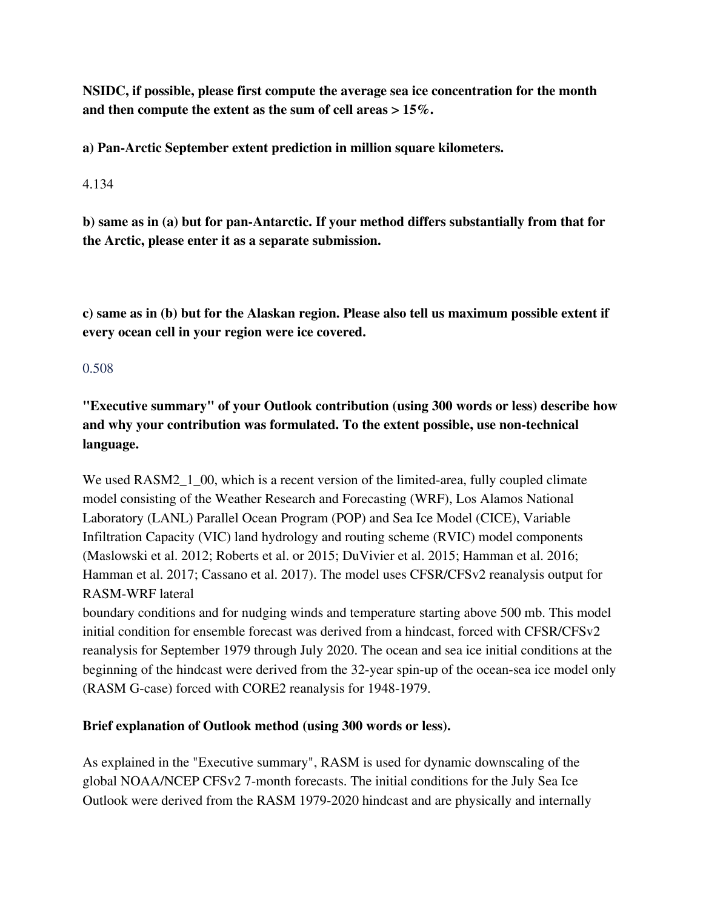**NSIDC, if possible, please first compute the average sea ice concentration for the month and then compute the extent as the sum of cell areas > 15%.**

**a) Pan-Arctic September extent prediction in million square kilometers.**

4.134

**b) same as in (a) but for pan-Antarctic. If your method differs substantially from that for the Arctic, please enter it as a separate submission.**

**c) same as in (b) but for the Alaskan region. Please also tell us maximum possible extent if every ocean cell in your region were ice covered.**

### 0.508

**"Executive summary" of your Outlook contribution (using 300 words or less) describe how and why your contribution was formulated. To the extent possible, use non-technical language.**

We used RASM2 1 00, which is a recent version of the limited-area, fully coupled climate model consisting of the Weather Research and Forecasting (WRF), Los Alamos National Laboratory (LANL) Parallel Ocean Program (POP) and Sea Ice Model (CICE), Variable Infiltration Capacity (VIC) land hydrology and routing scheme (RVIC) model components (Maslowski et al. 2012; Roberts et al. or 2015; DuVivier et al. 2015; Hamman et al. 2016; Hamman et al. 2017; Cassano et al. 2017). The model uses CFSR/CFSv2 reanalysis output for RASM-WRF lateral

boundary conditions and for nudging winds and temperature starting above 500 mb. This model initial condition for ensemble forecast was derived from a hindcast, forced with CFSR/CFSv2 reanalysis for September 1979 through July 2020. The ocean and sea ice initial conditions at the beginning of the hindcast were derived from the 32-year spin-up of the ocean-sea ice model only (RASM G-case) forced with CORE2 reanalysis for 1948-1979.

# **Brief explanation of Outlook method (using 300 words or less).**

As explained in the "Executive summary", RASM is used for dynamic downscaling of the global NOAA/NCEP CFSv2 7-month forecasts. The initial conditions for the July Sea Ice Outlook were derived from the RASM 1979-2020 hindcast and are physically and internally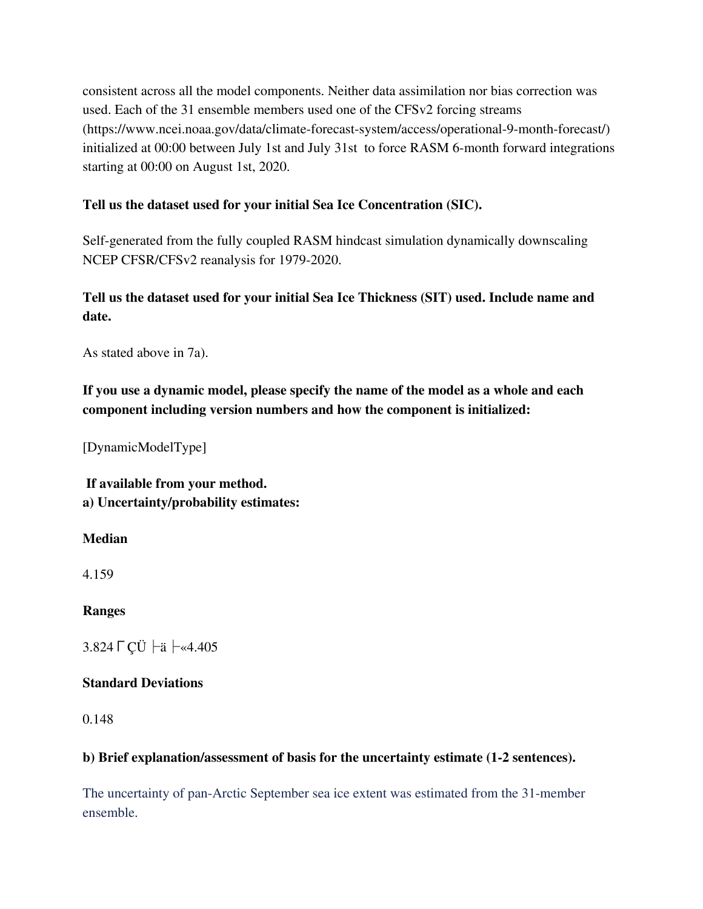consistent across all the model components. Neither data assimilation nor bias correction was used. Each of the 31 ensemble members used one of the CFSv2 forcing streams (https://www.ncei.noaa.gov/data/climate-forecast-system/access/operational-9-month-forecast/) initialized at 00:00 between July 1st and July 31st to force RASM 6-month forward integrations starting at 00:00 on August 1st, 2020.

### **Tell us the dataset used for your initial Sea Ice Concentration (SIC).**

Self-generated from the fully coupled RASM hindcast simulation dynamically downscaling NCEP CFSR/CFSv2 reanalysis for 1979-2020.

# **Tell us the dataset used for your initial Sea Ice Thickness (SIT) used. Include name and date.**

As stated above in 7a).

**If you use a dynamic model, please specify the name of the model as a whole and each component including version numbers and how the component is initialized:**

[DynamicModelType]

**If available from your method. a) Uncertainty/probability estimates:**

#### **Median**

4.159

**Ranges**

3.824 ГСÜ ├ä ├«4.405

### **Standard Deviations**

0.148

### **b) Brief explanation/assessment of basis for the uncertainty estimate (1-2 sentences).**

The uncertainty of pan-Arctic September sea ice extent was estimated from the 31-member ensemble.